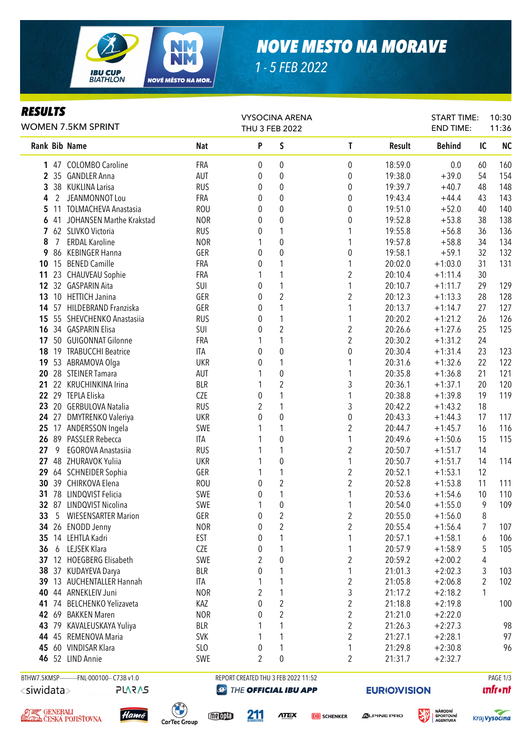

## *NOVE MESTO NA MORAVE*

*1 - 5 FEB 2022*

## *RESULTS*

| <b>WOMEN 7.5KM SPRINT</b> |   |                                              |                 |                | <b>VYSOCINA ARENA</b><br>THU 3 FEB 2022 |                         |                     | <b>START TIME:</b><br><b>END TIME:</b> |        | 10:30<br>11:36 |
|---------------------------|---|----------------------------------------------|-----------------|----------------|-----------------------------------------|-------------------------|---------------------|----------------------------------------|--------|----------------|
|                           |   | <b>Rank Bib Name</b>                         | <b>Nat</b>      | P              | S                                       | $\mathsf{T}$            | Result              | <b>Behind</b>                          | IC     | <b>NC</b>      |
|                           |   | 1 47 COLOMBO Caroline                        | FRA             | 0              | 0                                       | 0                       | 18:59.0             | 0.0                                    | 60     | 160            |
|                           |   | 2 35 GANDLER Anna                            | AUT             | 0              | $\boldsymbol{0}$                        | $\boldsymbol{0}$        | 19:38.0             | $+39.0$                                | 54     | 154            |
| 3                         |   | 38 KUKLINA Larisa                            | <b>RUS</b>      | 0              | 0                                       | $\boldsymbol{0}$        | 19:39.7             | $+40.7$                                | 48     | 148            |
| 4                         | 2 | JEANMONNOT Lou                               | FRA             | 0              | 0                                       | 0                       | 19:43.4             | $+44.4$                                | 43     | 143            |
| 5                         |   | 11 TOLMACHEVA Anastasia                      | <b>ROU</b>      | 0              | 0                                       | $\boldsymbol{0}$        | 19:51.0             | $+52.0$                                | 40     | 140            |
| 6                         |   | 41 JOHANSEN Marthe Krakstad                  | <b>NOR</b>      | 0              | 0                                       | 0                       | 19:52.8             | $+53.8$                                | 38     | 138            |
| $\overline{7}$            |   | 62 SLIVKO Victoria                           | <b>RUS</b>      | 0              | 1                                       | 1                       | 19:55.8             | $+56.8$                                | 36     | 136            |
| 8                         | 7 | <b>ERDAL Karoline</b>                        | <b>NOR</b>      |                | $\boldsymbol{0}$                        | 1                       | 19:57.8             | $+58.8$                                | 34     | 134            |
| 9                         |   | 86 KEBINGER Hanna                            | GER             | 0              | $\boldsymbol{0}$                        | $\boldsymbol{0}$        | 19:58.1             | $+59.1$                                | 32     | 132            |
| 10                        |   | 15 BENED Camille                             | FRA             | 0              | 1                                       | 1                       | 20:02.0             | $+1:03.0$                              | 31     | 131            |
| 11                        |   | 23 CHAUVEAU Sophie                           | FRA             |                | 1                                       | $\boldsymbol{2}$        | 20:10.4             | $+1:11.4$                              | 30     |                |
| 12                        |   | 32 GASPARIN Aita                             | SUI             | 0              | $\mathbf{1}$                            | 1                       | 20:10.7             | $+1:11.7$                              | 29     | 129            |
| 13                        |   | 10 HETTICH Janina                            | GER             | 0              | $\overline{2}$                          | $\overline{\mathbf{c}}$ | 20:12.3             | $+1:13.3$                              | 28     | 128            |
| 14                        |   | 57 HILDEBRAND Franziska                      | GER             | 0              | $\mathbf{1}$                            | 1                       | 20:13.7             | $+1:14.7$                              | 27     | 127            |
| 15                        |   | 55 SHEVCHENKO Anastasiia                     | <b>RUS</b>      | 0              | $\mathbf{1}$                            | 1                       | 20:20.2             | $+1:21.2$                              | 26     | 126            |
| 16                        |   | 34 GASPARIN Elisa                            | SUI             | 0              | $\overline{2}$                          | $\overline{2}$          | 20:26.6             | $+1:27.6$                              | 25     | 125            |
| 17                        |   | 50 GUIGONNAT Gilonne                         | FRA             |                | $\mathbf{1}$                            | $\overline{c}$          | 20:30.2             | $+1:31.2$                              | 24     |                |
| 18                        |   | 19 TRABUCCHI Beatrice                        | ITA             | 0              | $\boldsymbol{0}$                        | $\boldsymbol{0}$        | 20:30.4             | $+1:31.4$                              | 23     | 123            |
| 19                        |   | 53 ABRAMOVA Olga                             | <b>UKR</b>      | 0              | $\mathbf{1}$                            | 1                       | 20:31.6             | $+1:32.6$                              | 22     | 122            |
| 20                        |   | 28 STEINER Tamara                            | AUT             |                | $\boldsymbol{0}$                        | 1                       | 20:35.8             | $+1:36.8$                              | 21     | 121            |
| 21                        |   | 22 KRUCHINKINA Irina                         | <b>BLR</b>      |                | $\overline{2}$                          | 3                       | 20:36.1             | $+1:37.1$                              | 20     | 120            |
|                           |   | 22 29 TEPLA Eliska                           | CZE             | 0              | 1                                       | 1                       | 20:38.8             | $+1:39.8$                              | 19     | 119            |
| 23                        |   | 20 GERBULOVA Natalia                         | <b>RUS</b>      | 2              | 1                                       | 3                       | 20:42.2             | $+1:43.2$                              | 18     |                |
|                           |   | 24 27 DMYTRENKO Valeriya                     | <b>UKR</b>      | 0              | $\boldsymbol{0}$                        | $\boldsymbol{0}$        | 20:43.3             | $+1:44.3$                              | 17     | 117            |
| 25                        |   | 17 ANDERSSON Ingela                          | SWE             |                | 1                                       | 2                       | 20:44.7             | $+1:45.7$                              | 16     | 116            |
| 26                        |   | 89 PASSLER Rebecca                           | <b>ITA</b>      |                | 0                                       | 1                       | 20:49.6             | $+1:50.6$                              | 15     | 115            |
| 27                        | 9 | <b>EGOROVA Anastasiia</b>                    | <b>RUS</b>      |                | 1                                       | $\boldsymbol{2}$        | 20:50.7             | $+1:51.7$                              | 14     |                |
| 27                        |   | 48 ZHURAVOK Yuliia                           | <b>UKR</b>      |                | 0                                       | 1                       | 20:50.7             | $+1:51.7$                              | 14     | 114            |
| 29                        |   | 64 SCHNEIDER Sophia                          | GER             |                | $\mathbf{1}$                            | $\boldsymbol{2}$        | 20:52.1             | $+1:53.1$                              | 12     |                |
| 30                        |   | 39 CHIRKOVA Elena                            | <b>ROU</b>      | 0              | $\sqrt{2}$                              | $\overline{2}$          | 20:52.8             | $+1:53.8$                              | 11     | 111            |
| 31                        |   | 78 LINDQVIST Felicia                         | SWE             | 0              | 1                                       | 1                       | 20:53.6             | $+1:54.6$                              | 10     | 110            |
|                           |   | 32 87 LINDQVIST Nicolina                     | SWE             |                | $\boldsymbol{0}$                        | 1                       | 20:54.0             | $+1:55.0$                              | 9      | 109            |
| 33                        |   | 5 WIESENSARTER Marion                        | GER             | 0              | $\overline{2}$                          | $\boldsymbol{2}$        | 20:55.0             | $+1:56.0$                              | $\, 8$ |                |
|                           |   | 34 26 ENODD Jenny                            | <b>NOR</b>      | 0              | $\boldsymbol{2}$                        | $\overline{\mathbf{c}}$ | 20:55.4             | $+1:56.4$                              | 7      | 107            |
| 35                        |   | 14 LEHTLA Kadri                              | <b>EST</b>      | 0              | 1                                       | 1                       | 20:57.1             | $+1:58.1$                              | 6      | 106            |
| 36                        | 6 | LEJSEK Klara                                 | CZE             | 0              | 1                                       | 1                       | 20:57.9             | $+1:58.9$                              | 5      | 105            |
| 37                        |   | 12 HOEGBERG Elisabeth                        | SWE             | 2              | $\boldsymbol{0}$                        | $\overline{c}$          | 20:59.2             | $+2:00.2$                              | 4      |                |
| 38                        |   | 37 KUDAYEVA Darya                            | <b>BLR</b>      | 0              | 1                                       | 1                       | 21:01.3             | $+2:02.3$                              | 3      | 103            |
| 39                        |   | 13 AUCHENTALLER Hannah                       | ITA             |                | 1                                       | $\overline{\mathbf{c}}$ | 21:05.8             | $+2:06.8$                              | 2      | 102            |
| 40                        |   | 44 ARNEKLEIV Juni                            | <b>NOR</b>      | 2              | 1                                       | 3                       | 21:17.2             | $+2:18.2$                              | 1      |                |
|                           |   | 41 74 BELCHENKO Yelizaveta                   | KAZ             | 0              | $\overline{2}$                          | $\overline{c}$          | 21:18.8             | $+2:19.8$                              |        | 100            |
|                           |   | 42 69 BAKKEN Maren                           | <b>NOR</b>      | 0              | $\overline{2}$                          | $\overline{\mathbf{c}}$ | 21:21.0             | $+2:22.0$                              |        |                |
|                           |   | 43 79 KAVALEUSKAYA Yuliya                    | <b>BLR</b>      |                | 1                                       | $\overline{\mathbf{c}}$ | 21:26.3             | $+2:27.3$                              |        | 98             |
|                           |   | 44 45 REMENOVA Maria                         | <b>SVK</b>      |                | 1                                       | $\overline{\mathbf{c}}$ | 21:27.1             | $+2:28.1$                              |        | 97             |
| 45                        |   | 60 VINDISAR Klara                            | SL <sub>0</sub> | 0              | 1                                       | 1                       | 21:29.8             | $+2:30.8$                              |        | 96             |
| 46                        |   | 52 LIND Annie                                | SWE             | $\overline{2}$ | $\mathbf 0$                             | 2                       | 21:31.7             | $+2:32.7$                              |        |                |
|                           |   | BTHW7.5KMSP-----------FNL-000100-- C73B v1.0 |                 |                | REPORT CREATED THU 3 FEB 2022 11:52     |                         |                     |                                        |        | PAGE 1/3       |
| <siwidata></siwidata>     |   | <b>PLARAS</b>                                | $\bigcirc$      |                | THE OFFICIAL IBU APP                    |                         | <b>EURIO)VISION</b> |                                        |        | <b>unfront</b> |
|                           |   |                                              |                 |                |                                         |                         |                     |                                        |        |                |





meopla

211

**ATEX DB** SCHENKER



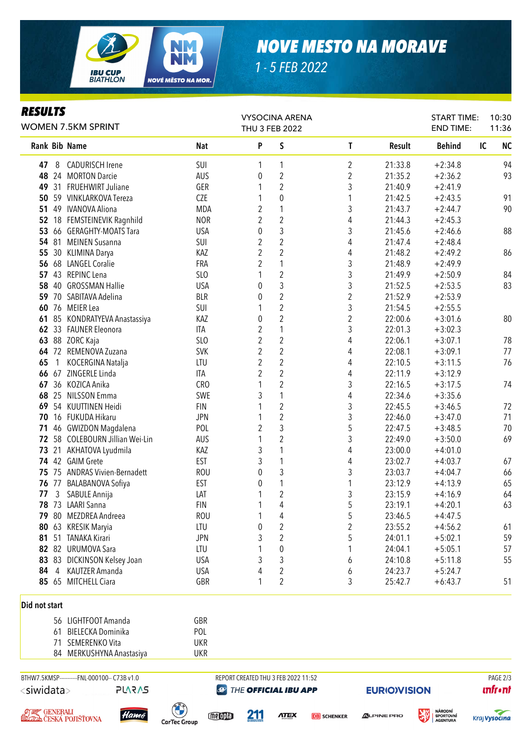

## *NOVE MESTO NA MORAVE*

*1 - 5 FEB 2022*

## *RESULTS*

| Кеэчнэ<br><b>WOMEN 7.5KM SPRINT</b>     |                |                                                    |                               |                         | <b>VYSOCINA ARENA</b><br>THU 3 FEB 2022 |                         | <b>START TIME:</b><br><b>END TIME:</b> | 10:30<br>11:36                                        |                 |
|-----------------------------------------|----------------|----------------------------------------------------|-------------------------------|-------------------------|-----------------------------------------|-------------------------|----------------------------------------|-------------------------------------------------------|-----------------|
|                                         |                | Rank Bib Name                                      | Nat                           | P                       | S                                       | T                       | <b>Result</b>                          | <b>Behind</b>                                         | <b>NC</b><br>IC |
| 47                                      | 8              | <b>CADURISCH Irene</b>                             | SUI                           | 1                       | 1                                       | $\overline{2}$          | 21:33.8                                | $+2:34.8$                                             | 94              |
| 48                                      |                | 24 MORTON Darcie                                   | AUS                           | 0                       | $\sqrt{2}$                              | $\overline{2}$          | 21:35.2                                | $+2:36.2$                                             | 93              |
| 49                                      |                | 31 FRUEHWIRT Juliane                               | GER                           |                         | $\sqrt{2}$                              | 3                       | 21:40.9                                | $+2:41.9$                                             |                 |
| 50                                      |                | 59 VINKLARKOVA Tereza                              | CZE                           |                         | $\pmb{0}$                               | 1                       | 21:42.5                                | $+2:43.5$                                             | 91              |
| 51                                      |                | 49 IVANOVA Aliona                                  | <b>MDA</b>                    | 2                       | $\mathbf{1}$                            | 3                       | 21:43.7                                | $+2:44.7$                                             | 90              |
| 52                                      |                | 18 FEMSTEINEVIK Ragnhild                           | <b>NOR</b>                    | $\overline{2}$          | $\overline{2}$                          | 4                       | 21:44.3                                | $+2:45.3$                                             |                 |
| 53                                      |                | 66 GERAGHTY-MOATS Tara                             | <b>USA</b>                    | 0                       | $\mathfrak{Z}$                          | 3                       | 21:45.6                                | $+2:46.6$                                             | 88              |
|                                         |                | 54 81 MEINEN Susanna                               | SUI                           | $\overline{2}$          | $\overline{2}$                          | 4                       | 21:47.4                                | $+2:48.4$                                             |                 |
| 55                                      |                | 30 KLIMINA Darya                                   | KAZ                           | $\overline{2}$          | $\overline{2}$                          | 4                       | 21:48.2                                | $+2:49.2$                                             | 86              |
|                                         |                | 56 68 LANGEL Coralie                               | <b>FRA</b>                    | 2                       | $\mathbf{1}$                            | 3                       | 21:48.9                                | $+2:49.9$                                             |                 |
| 57                                      |                | 43 REPINC Lena                                     | SLO                           |                         | $\sqrt{2}$                              | 3                       | 21:49.9                                | $+2:50.9$                                             | 84              |
| 58                                      |                | 40 GROSSMAN Hallie                                 | <b>USA</b>                    | 0                       | 3                                       | 3                       | 21:52.5                                | $+2:53.5$                                             | 83              |
| 59                                      |                | 70 SABITAVA Adelina                                | <b>BLR</b>                    | 0                       | $\sqrt{2}$                              | $\overline{\mathbf{c}}$ | 21:52.9                                | $+2:53.9$                                             |                 |
| 60                                      |                | 76 MEIER Lea                                       | SUI                           |                         | $\sqrt{2}$                              | 3                       | 21:54.5                                | $+2:55.5$                                             |                 |
| 61                                      |                | 85 KONDRATYEVA Anastassiya                         | KAZ                           | 0                       | $\overline{2}$                          | 2                       | 22:00.6                                | $+3:01.6$                                             | 80              |
|                                         |                | 62 33 FAUNER Eleonora                              | ITA                           | $\overline{2}$          | $\mathbf{1}$                            | 3                       | 22:01.3                                | $+3:02.3$                                             |                 |
| 63                                      |                | 88 ZORC Kaja                                       | SLO                           | $\overline{c}$          | $\sqrt{2}$                              | 4                       | 22:06.1                                | $+3:07.1$                                             | 78              |
|                                         |                | 64 72 REMENOVA Zuzana                              | <b>SVK</b>                    | $\overline{\mathbf{c}}$ | $\overline{c}$                          | 4                       | 22:08.1                                | $+3:09.1$                                             | 77              |
| 65                                      | $\overline{1}$ | KOCERGINA Natalja                                  | LTU                           | 2                       | $\overline{c}$                          | 4                       | 22:10.5                                | $+3:11.5$                                             | 76              |
| 66                                      |                | 67 ZINGERLE Linda                                  | ITA                           | 2                       | $\sqrt{2}$                              | 4                       | 22:11.9                                | $+3:12.9$                                             |                 |
| 67                                      |                | 36 KOZICA Anika                                    | CRO                           | 1                       | $\sqrt{2}$                              | 3                       | 22:16.5                                | $+3:17.5$                                             | 74              |
| 68                                      |                | 25 NILSSON Emma                                    | SWE                           | 3                       | $\mathbf{1}$                            | 4                       | 22:34.6                                | $+3:35.6$                                             |                 |
| 69                                      |                | 54 KUUTTINEN Heidi                                 | <b>FIN</b>                    | 1                       | $\sqrt{2}$                              | 3                       | 22:45.5                                | $+3:46.5$                                             | 72              |
| 70                                      |                | 16 FUKUDA Hikaru                                   | <b>JPN</b>                    |                         | $\sqrt{2}$                              | 3                       | 22:46.0                                | $+3:47.0$                                             | 71              |
| 71                                      |                | 46 GWIZDON Magdalena                               | POL                           | $\sqrt{2}$              | 3                                       | 5                       | 22:47.5                                | $+3:48.5$                                             | 70              |
| 72                                      |                | 58 COLEBOURN Jillian Wei-Lin                       | AUS                           | 1                       | $\sqrt{2}$                              | 3                       | 22:49.0                                | $+3:50.0$                                             | 69              |
| 73                                      |                | 21 AKHATOVA Lyudmila                               | KAZ                           | 3                       | $\mathbf{1}$                            | 4                       | 23:00.0                                | $+4:01.0$                                             |                 |
|                                         |                | 74 42 GAIM Grete                                   | EST                           | 3                       | $\mathbf{1}$                            | 4                       | 23:02.7                                | $+4:03.7$                                             | 67              |
|                                         |                | 75 75 ANDRAS Vivien-Bernadett                      | <b>ROU</b>                    | $\mathbf{0}$            | $\mathfrak{Z}$                          | 3                       | 23:03.7                                | $+4:04.7$                                             | 66              |
|                                         |                | 76 77 BALABANOVA Sofiya                            | <b>EST</b>                    | 0                       | $\mathbf{1}$                            | 1                       | 23:12.9                                | $+4:13.9$                                             | 65              |
| 77                                      | 3              | SABULE Annija                                      | LAT                           | 1                       | $\overline{2}$                          | 3                       | 23:15.9                                | $+4:16.9$                                             | 64              |
|                                         |                | 78 73 LAARI Sanna                                  | <b>FIN</b>                    | 1                       | 4                                       | 5                       | 23:19.1                                | $+4:20.1$                                             | 63              |
| 79                                      |                | 80 MEZDREA Andreea                                 | <b>ROU</b>                    |                         | 4                                       | 5                       | 23:46.5                                | $+4:47.5$                                             |                 |
| 80                                      |                | 63 KRESIK Maryia                                   | LTU                           | 0                       | $\overline{\mathbf{c}}$                 | 2                       | 23:55.2                                | $+4:56.2$                                             | 61              |
| 81                                      |                | 51 TANAKA Kirari                                   | <b>JPN</b>                    | 3                       | $\sqrt{2}$                              | 5                       | 24:01.1                                | $+5:02.1$                                             | 59              |
|                                         |                | 82 82 URUMOVA Sara                                 | LTU                           |                         | $\pmb{0}$                               |                         | 24:04.1                                | $+5:05.1$                                             | 57              |
|                                         |                | 83 83 DICKINSON Kelsey Joan                        | <b>USA</b>                    | 3                       | 3                                       | 6                       | 24:10.8                                | $+5:11.8$                                             | 55              |
| 84                                      | $\overline{4}$ | KAUTZER Amanda                                     | <b>USA</b>                    | 4                       | $\sqrt{2}$                              | 6                       | 24:23.7                                | $+5:24.7$                                             |                 |
|                                         |                | 85 65 MITCHELL Ciara                               | GBR                           | 1                       | $\overline{2}$                          | 3                       | 25:42.7                                | $+6:43.7$                                             | 51              |
| Did not start                           |                |                                                    |                               |                         |                                         |                         |                                        |                                                       |                 |
|                                         |                | 56 LIGHTFOOT Amanda                                | GBR                           |                         |                                         |                         |                                        |                                                       |                 |
|                                         | 61             | <b>BIELECKA Dominika</b>                           | POL                           |                         |                                         |                         |                                        |                                                       |                 |
|                                         | 71             | SEMERENKO Vita                                     | <b>UKR</b>                    |                         |                                         |                         |                                        |                                                       |                 |
|                                         |                | 84 MERKUSHYNA Anastasiya                           | <b>UKR</b>                    |                         |                                         |                         |                                        |                                                       |                 |
|                                         |                | BTHW7.5KMSP-----------FNL-000100-- C73B v1.0       |                               |                         | REPORT CREATED THU 3 FEB 2022 11:52     |                         |                                        |                                                       | PAGE 2/3        |
| <siwidata><br/><b>PLARAS</b></siwidata> |                |                                                    | $\bigcirc$                    | THE OFFICIAL IBU APP    |                                         |                         |                                        | <b>EURIO)VISION</b>                                   | <b>unfront</b>  |
|                                         |                | , ØJ≢Z, GENERALI<br>SLODA ČESKÁ POJIŠŤOVNA<br>Hamé | meople<br><b>CarTec Group</b> | <u>211</u>              | <b>ATEX</b>                             | <b>DB</b> SCHENKER      | <b>ALPINE PRO</b>                      | <b>NÁRODNÍ</b><br><b>SPORTOVNÍ</b><br><b>AGENTURA</b> | Kraj Vysočina   |